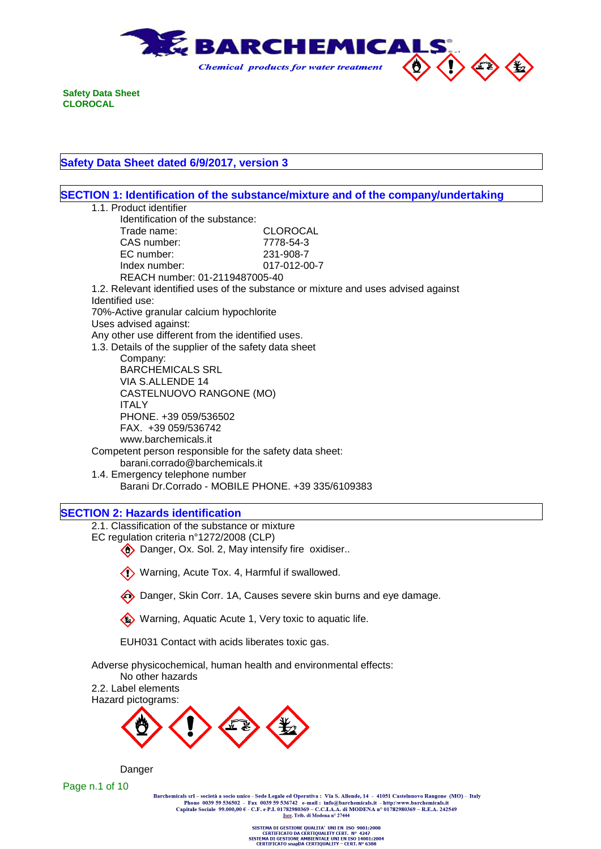

 $\Gamma$ 

# **Safety Data Sheet dated 6/9/2017, version 3**

|                                                                  | SECTION 1: Identification of the substance/mixture and of the company/undertaking  |
|------------------------------------------------------------------|------------------------------------------------------------------------------------|
| 1.1. Product identifier                                          |                                                                                    |
| Identification of the substance:                                 |                                                                                    |
| Trade name:                                                      | <b>CLOROCAL</b>                                                                    |
| CAS number:                                                      | 7778-54-3                                                                          |
| EC number:                                                       | 231-908-7                                                                          |
| Index number:                                                    | 017-012-00-7                                                                       |
| REACH number: 01-2119487005-40                                   |                                                                                    |
|                                                                  | 1.2. Relevant identified uses of the substance or mixture and uses advised against |
| Identified use:                                                  |                                                                                    |
| 70%-Active granular calcium hypochlorite                         |                                                                                    |
| Uses advised against:                                            |                                                                                    |
| Any other use different from the identified uses.                |                                                                                    |
| 1.3. Details of the supplier of the safety data sheet            |                                                                                    |
| Company:                                                         |                                                                                    |
| <b>BARCHEMICALS SRL</b>                                          |                                                                                    |
| VIA S.ALLENDE 14                                                 |                                                                                    |
| CASTELNUOVO RANGONE (MO)                                         |                                                                                    |
| <b>ITALY</b>                                                     |                                                                                    |
| PHONE. +39 059/536502                                            |                                                                                    |
| FAX. +39 059/536742                                              |                                                                                    |
| www.barchemicals.it                                              |                                                                                    |
| Competent person responsible for the safety data sheet:          |                                                                                    |
| barani.corrado@barchemicals.it                                   |                                                                                    |
| 1.4. Emergency telephone number                                  |                                                                                    |
| Barani Dr. Corrado - MOBILE PHONE. +39 335/6109383               |                                                                                    |
| <b>SECTION 2: Hazards identification</b>                         |                                                                                    |
| 2.1. Classification of the substance or mixture                  |                                                                                    |
| EC regulation criteria n°1272/2008 (CLP)                         |                                                                                    |
| Danger, Ox. Sol. 2, May intensify fire oxidiser                  |                                                                                    |
|                                                                  |                                                                                    |
| Warning, Acute Tox. 4, Harmful if swallowed.                     |                                                                                    |
|                                                                  | Danger, Skin Corr. 1A, Causes severe skin burns and eye damage.                    |
| Warning, Aquatic Acute 1, Very toxic to aquatic life.            |                                                                                    |
| EUH031 Contact with acids liberates toxic gas.                   |                                                                                    |
| Adverse physicochemical, human health and environmental effects: |                                                                                    |
| No other hazards                                                 |                                                                                    |
|                                                                  |                                                                                    |
| 2.2. Label elements                                              |                                                                                    |
| Hazard pictograms:                                               |                                                                                    |
|                                                                  |                                                                                    |
|                                                                  |                                                                                    |
|                                                                  |                                                                                    |
|                                                                  |                                                                                    |
| Danger<br>Page n.1 of 10                                         |                                                                                    |

Share of the Social Assemblue Control of the Same Legard and Control of the Same Control of the Person Casement Capitale Sociale 99.000,00 € - C.F. e P.I. 01782980369 – C.C.I.A.A. di MODENA n° 01782980369 – R.E.A. 242549<br>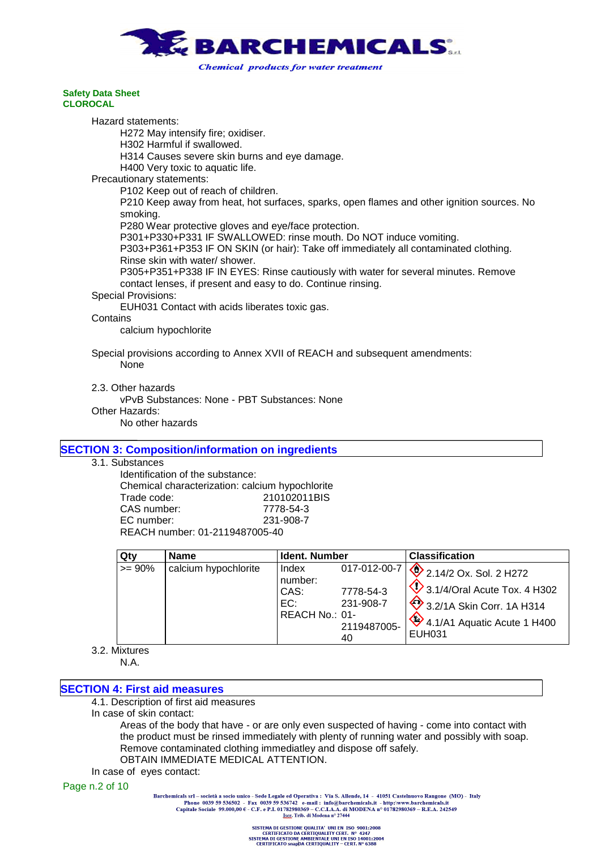

Hazard statements:

H272 May intensify fire; oxidiser.

H302 Harmful if swallowed.

H314 Causes severe skin burns and eye damage.

H400 Very toxic to aquatic life.

Precautionary statements:

P102 Keep out of reach of children.

P210 Keep away from heat, hot surfaces, sparks, open flames and other ignition sources. No smoking.

P280 Wear protective gloves and eye/face protection.

P301+P330+P331 IF SWALLOWED: rinse mouth. Do NOT induce vomiting.

P303+P361+P353 IF ON SKIN (or hair): Take off immediately all contaminated clothing. Rinse skin with water/ shower.

P305+P351+P338 IF IN EYES: Rinse cautiously with water for several minutes. Remove contact lenses, if present and easy to do. Continue rinsing.

## Special Provisions:

EUH031 Contact with acids liberates toxic gas.

#### **Contains**

calcium hypochlorite

Special provisions according to Annex XVII of REACH and subsequent amendments: None

2.3. Other hazards

vPvB Substances: None - PBT Substances: None

Other Hazards:

No other hazards

# **SECTION 3: Composition/information on ingredients**

## 3.1. Substances

Identification of the substance: Chemical characterization: calcium hypochlorite Trade code: 210102011BIS CAS number: 7778-54-3 EC number: 231-908-7 REACH number: 01-2119487005-40

**Qty Name Ident. Number Classification**  $>= 90\%$  calcium hypochlorite | Index number: 017-012-00-7 CAS: 7778-54-3 EC: 231-908-7  $RFACH$  No $\cdot$  01-2119487005- 40 2.14/2 Ox. Sol. 2 H272  $\bigotimes$  3.1/4/Oral Acute Tox. 4 H302  $\bigotimes$  3.2/1A Skin Corr. 1A H314  $4.1/A1$  Aquatic Acute 1 H400 EUH031

3.2. Mixtures N.A.

# **SECTION 4: First aid measures**

4.1. Description of first aid measures

In case of skin contact:

Areas of the body that have - or are only even suspected of having - come into contact with the product must be rinsed immediately with plenty of running water and possibly with soap. Remove contaminated clothing immediatley and dispose off safely. OBTAIN IMMEDIATE MEDICAL ATTENTION.

In case of eyes contact:

#### Page n.2 of 10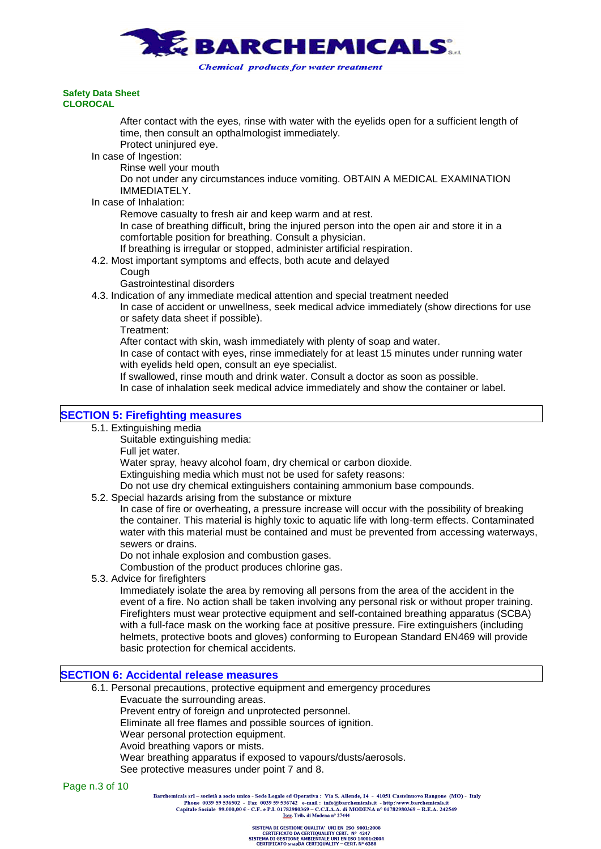

After contact with the eyes, rinse with water with the eyelids open for a sufficient length of time, then consult an opthalmologist immediately.

Protect uninjured eye.

In case of Ingestion:

Rinse well your mouth

Do not under any circumstances induce vomiting. OBTAIN A MEDICAL EXAMINATION IMMEDIATELY.

#### In case of Inhalation:

Remove casualty to fresh air and keep warm and at rest.

In case of breathing difficult, bring the injured person into the open air and store it in a comfortable position for breathing. Consult a physician.

If breathing is irregular or stopped, administer artificial respiration.

4.2. Most important symptoms and effects, both acute and delayed

**Cough** 

Gastrointestinal disorders

4.3. Indication of any immediate medical attention and special treatment needed

In case of accident or unwellness, seek medical advice immediately (show directions for use or safety data sheet if possible).

Treatment:

After contact with skin, wash immediately with plenty of soap and water.

In case of contact with eyes, rinse immediately for at least 15 minutes under running water with eyelids held open, consult an eye specialist.

If swallowed, rinse mouth and drink water. Consult a doctor as soon as possible.

In case of inhalation seek medical advice immediately and show the container or label.

## **SECTION 5: Firefighting measures**

5.1. Extinguishing media

Suitable extinguishing media:

Full jet water.

Water spray, heavy alcohol foam, dry chemical or carbon dioxide.

Extinguishing media which must not be used for safety reasons:

Do not use dry chemical extinguishers containing ammonium base compounds.

5.2. Special hazards arising from the substance or mixture

In case of fire or overheating, a pressure increase will occur with the possibility of breaking the container. This material is highly toxic to aquatic life with long-term effects. Contaminated water with this material must be contained and must be prevented from accessing waterways, sewers or drains.

Do not inhale explosion and combustion gases.

Combustion of the product produces chlorine gas.

5.3. Advice for firefighters

Immediately isolate the area by removing all persons from the area of the accident in the event of a fire. No action shall be taken involving any personal risk or without proper training. Firefighters must wear protective equipment and self-contained breathing apparatus (SCBA) with a full-face mask on the working face at positive pressure. Fire extinguishers (including helmets, protective boots and gloves) conforming to European Standard EN469 will provide basic protection for chemical accidents.

## **SECTION 6: Accidental release measures**

- 6.1. Personal precautions, protective equipment and emergency procedures
	- Evacuate the surrounding areas.

Prevent entry of foreign and unprotected personnel.

Eliminate all free flames and possible sources of ignition.

Wear personal protection equipment.

Avoid breathing vapors or mists.

Wear breathing apparatus if exposed to vapours/dusts/aerosols.

See protective measures under point 7 and 8.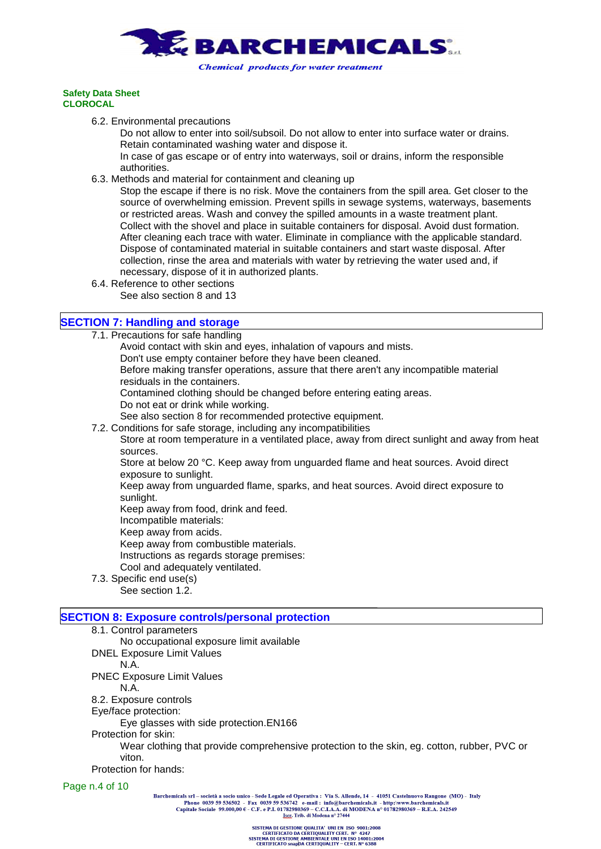

6.2. Environmental precautions

Do not allow to enter into soil/subsoil. Do not allow to enter into surface water or drains. Retain contaminated washing water and dispose it.

In case of gas escape or of entry into waterways, soil or drains, inform the responsible authorities.

6.3. Methods and material for containment and cleaning up

Stop the escape if there is no risk. Move the containers from the spill area. Get closer to the source of overwhelming emission. Prevent spills in sewage systems, waterways, basements or restricted areas. Wash and convey the spilled amounts in a waste treatment plant. Collect with the shovel and place in suitable containers for disposal. Avoid dust formation. After cleaning each trace with water. Eliminate in compliance with the applicable standard. Dispose of contaminated material in suitable containers and start waste disposal. After collection, rinse the area and materials with water by retrieving the water used and, if necessary, dispose of it in authorized plants.

- 6.4. Reference to other sections
	- See also section 8 and 13

# **SECTION 7: Handling and storage**

- 7.1. Precautions for safe handling
	- Avoid contact with skin and eyes, inhalation of vapours and mists.
	- Don't use empty container before they have been cleaned.

Before making transfer operations, assure that there aren't any incompatible material residuals in the containers.

Contamined clothing should be changed before entering eating areas.

Do not eat or drink while working.

See also section 8 for recommended protective equipment.

7.2. Conditions for safe storage, including any incompatibilities

Store at room temperature in a ventilated place, away from direct sunlight and away from heat sources.

Store at below 20 °C. Keep away from unguarded flame and heat sources. Avoid direct exposure to sunlight.

Keep away from unguarded flame, sparks, and heat sources. Avoid direct exposure to sunlight.

Keep away from food, drink and feed.

- Incompatible materials:
- Keep away from acids.

Keep away from combustible materials.

Instructions as regards storage premises:

Cool and adequately ventilated.

- 7.3. Specific end use(s)
	- See section 1.2.

## **SECTION 8: Exposure controls/personal protection**

- 8.1. Control parameters
	- No occupational exposure limit available
- DNEL Exposure Limit Values

N.A.

PNEC Exposure Limit Values

N.A.

8.2. Exposure controls

Eye/face protection:

Eye glasses with side protection.EN166

Protection for skin:

Wear clothing that provide comprehensive protection to the skin, eg. cotton, rubber, PVC or viton.

Protection for hands:

Page n.4 of 10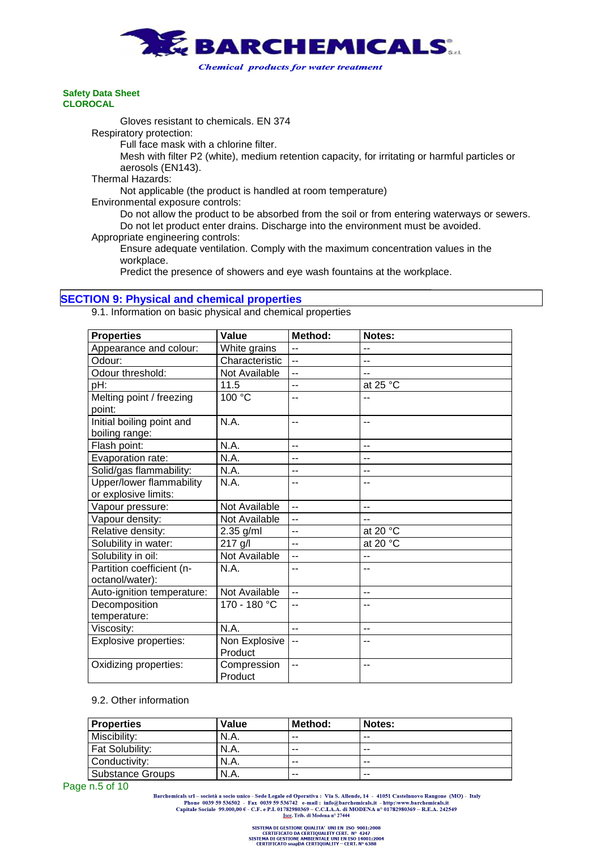

**Chemical products for water treatment** 

#### **Safety Data Sheet CLOROCAL**

Gloves resistant to chemicals. EN 374

Respiratory protection:

Full face mask with a chlorine filter.

Mesh with filter P2 (white), medium retention capacity, for irritating or harmful particles or aerosols (EN143).

Thermal Hazards:

Not applicable (the product is handled at room temperature)

Environmental exposure controls:

Do not allow the product to be absorbed from the soil or from entering waterways or sewers. Do not let product enter drains. Discharge into the environment must be avoided. Appropriate engineering controls:

Ensure adequate ventilation. Comply with the maximum concentration values in the workplace.

Predict the presence of showers and eye wash fountains at the workplace.

## **SECTION 9: Physical and chemical properties**

9.1. Information on basic physical and chemical properties

| <b>Properties</b>            | Value                | Method:        | Notes:             |
|------------------------------|----------------------|----------------|--------------------|
| Appearance and colour:       | White grains         | $-$            | $-$                |
| Odour:                       | Characteristic       | $\overline{a}$ | -−                 |
| Odour threshold:             | Not Available        | $-$            |                    |
| pH:                          | 11.5                 | $-$            | at 25 $°C$         |
| Melting point / freezing     | $100^{\circ}$ C      | --             |                    |
| point:                       |                      |                |                    |
| Initial boiling point and    | N.A.                 | --             | --                 |
| boiling range:               |                      |                |                    |
| Flash point:                 | N.A.                 | $-$            | --                 |
| Evaporation rate:            | N.A.                 | $-$            | --                 |
| Solid/gas flammability:      | N.A.                 | --             | --                 |
| Upper/lower flammability     | N.A.                 | --             | --                 |
| or explosive limits:         |                      |                |                    |
| Vapour pressure:             | Not Available        | Ξ.             | $-$                |
| Vapour density:              | Not Available        | $-$            | --                 |
| Relative density:            | $2.35$ g/ml          | --             | at 20 °C           |
| Solubility in water:         | 217 g/l              | $-$            | at 20 $^{\circ}$ C |
| Solubility in oil:           | <b>Not Available</b> | --             | --                 |
| Partition coefficient (n-    | N.A.                 | --             | --                 |
| octanol/water):              |                      |                |                    |
| Auto-ignition temperature:   | Not Available        | $-$            | $-$                |
| Decomposition                | 170 - 180 °C         | $-$            | --                 |
| temperature:                 |                      |                |                    |
| Viscosity:                   | N.A.                 | $\overline{a}$ | --                 |
| <b>Explosive properties:</b> | Non Explosive        | --             |                    |
|                              | Product              |                |                    |
| Oxidizing properties:        | Compression          | --             | --                 |
|                              | Product              |                |                    |

## 9.2. Other information

| <b>Properties</b> | Value       | Method: | Notes: |
|-------------------|-------------|---------|--------|
| Miscibility:      | N.A.        | $- -$   | $- -$  |
| Fat Solubility:   | N.A.        | $- -$   | $- -$  |
| Conductivity:     | <b>N.A.</b> | $- -$   | $- -$  |
| Substance Groups  | N.A.        | $- -$   | $- -$  |

Page n.5 of 10

Barchemicals srl – società a socio unico - Sede Legale ed Operativa : Via S. Allende, 14 - 41051 Castelnuovo Rangone (MO) - Italy<br>Phone 0039 59 536502 - Fax 0039 59 536742 e-mail : info@barchemicals.it - http://www.barche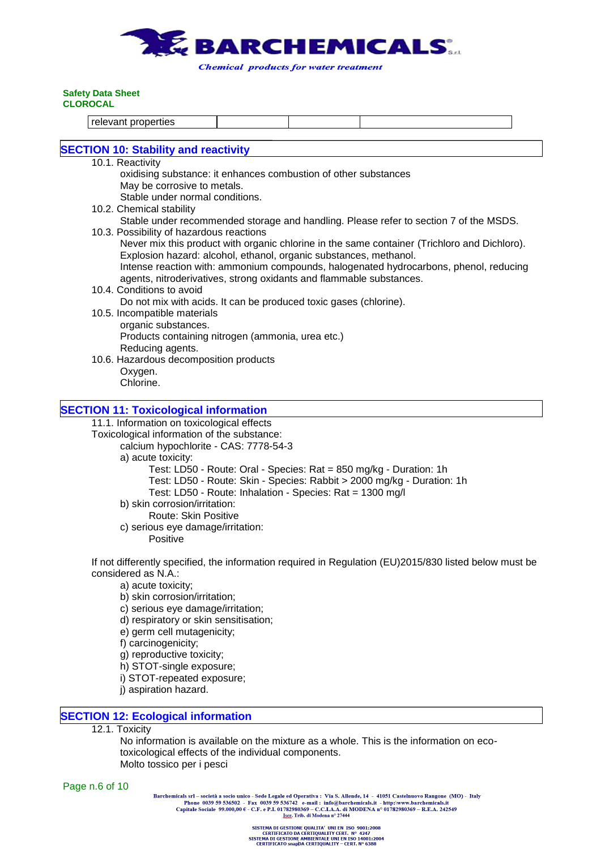

relevant properties

# **SECTION 10: Stability and reactivity**

- 10.1. Reactivity
	- oxidising substance: it enhances combustion of other substances May be corrosive to metals. Stable under normal conditions.
- 10.2. Chemical stability Stable under recommended storage and handling. Please refer to section 7 of the MSDS.
- 10.3. Possibility of hazardous reactions Never mix this product with organic chlorine in the same container (Trichloro and Dichloro). Explosion hazard: alcohol, ethanol, organic substances, methanol. Intense reaction with: ammonium compounds, halogenated hydrocarbons, phenol, reducing
	- agents, nitroderivatives, strong oxidants and flammable substances.
	- 10.4. Conditions to avoid Do not mix with acids. It can be produced toxic gases (chlorine).
	- 10.5. Incompatible materials organic substances. Products containing nitrogen (ammonia, urea etc.) Reducing agents.
	- 10.6. Hazardous decomposition products Oxygen. Chlorine.

# **SECTION 11: Toxicological information**

11.1. Information on toxicological effects

Toxicological information of the substance:

calcium hypochlorite - CAS: 7778-54-3

a) acute toxicity:

Test: LD50 - Route: Oral - Species: Rat = 850 mg/kg - Duration: 1h

Test: LD50 - Route: Skin - Species: Rabbit > 2000 mg/kg - Duration: 1h

- Test: LD50 Route: Inhalation Species: Rat = 1300 mg/l
- b) skin corrosion/irritation:
	- Route: Skin Positive
- c) serious eye damage/irritation:

Positive

If not differently specified, the information required in Regulation (EU)2015/830 listed below must be considered as N.A.:

- a) acute toxicity;
- b) skin corrosion/irritation;
- c) serious eye damage/irritation;
- d) respiratory or skin sensitisation;
- e) germ cell mutagenicity;
- f) carcinogenicity;
- g) reproductive toxicity;
- h) STOT-single exposure;
- i) STOT-repeated exposure;
- j) aspiration hazard.

## **SECTION 12: Ecological information**

12.1. Toxicity

No information is available on the mixture as a whole. This is the information on ecotoxicological effects of the individual components. Molto tossico per i pesci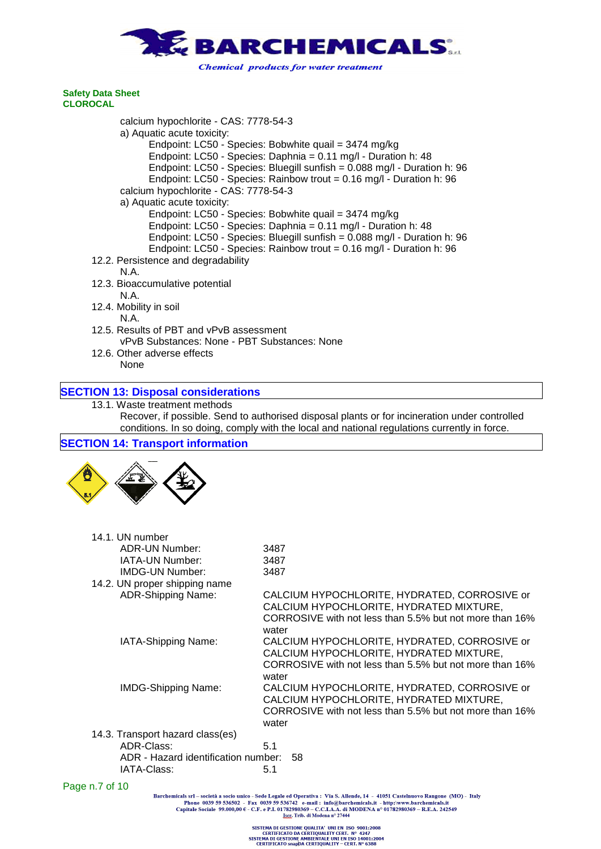

calcium hypochlorite - CAS: 7778-54-3 a) Aquatic acute toxicity: Endpoint: LC50 - Species: Bobwhite quail = 3474 mg/kg Endpoint: LC50 - Species: Daphnia = 0.11 mg/l - Duration h: 48 Endpoint: LC50 - Species: Bluegill sunfish = 0.088 mg/l - Duration h: 96 Endpoint: LC50 - Species: Rainbow trout = 0.16 mg/l - Duration h: 96 calcium hypochlorite - CAS: 7778-54-3 a) Aquatic acute toxicity: Endpoint: LC50 - Species: Bobwhite quail = 3474 mg/kg Endpoint: LC50 - Species: Daphnia = 0.11 mg/l - Duration h: 48 Endpoint: LC50 - Species: Bluegill sunfish = 0.088 mg/l - Duration h: 96 Endpoint: LC50 - Species: Rainbow trout = 0.16 mg/l - Duration h: 96 12.2. Persistence and degradability N.A. 12.3. Bioaccumulative potential N.A. 12.4. Mobility in soil N.A. 12.5. Results of PBT and vPvB assessment vPvB Substances: None - PBT Substances: None 12.6. Other adverse effects

None

# **SECTION 13: Disposal considerations**

```
13.1. Waste treatment methods
```
Recover, if possible. Send to authorised disposal plants or for incineration under controlled conditions. In so doing, comply with the local and national regulations currently in force.

## **SECTION 14: Transport information**



| 14.1. UN number                                                                                         |                                                                                                                                                             |
|---------------------------------------------------------------------------------------------------------|-------------------------------------------------------------------------------------------------------------------------------------------------------------|
| ADR-UN Number:                                                                                          | 3487                                                                                                                                                        |
| <b>IATA-UN Number:</b>                                                                                  | 3487                                                                                                                                                        |
| <b>IMDG-UN Number:</b>                                                                                  | 3487                                                                                                                                                        |
| 14.2. UN proper shipping name                                                                           |                                                                                                                                                             |
| ADR-Shipping Name:                                                                                      | CALCIUM HYPOCHLORITE, HYDRATED, CORROSIVE or<br>CALCIUM HYPOCHLORITE, HYDRATED MIXTURE,<br>CORROSIVE with not less than 5.5% but not more than 16%<br>water |
| IATA-Shipping Name:                                                                                     | CALCIUM HYPOCHLORITE, HYDRATED, CORROSIVE or<br>CALCIUM HYPOCHLORITE, HYDRATED MIXTURE,<br>CORROSIVE with not less than 5.5% but not more than 16%<br>water |
| <b>IMDG-Shipping Name:</b>                                                                              | CALCIUM HYPOCHLORITE, HYDRATED, CORROSIVE or<br>CALCIUM HYPOCHLORITE, HYDRATED MIXTURE,<br>CORROSIVE with not less than 5.5% but not more than 16%<br>water |
| 14.3. Transport hazard class(es)<br>ADR-Class:<br>ADR - Hazard identification number: 58<br>IATA-Class: | 5.1<br>5.1                                                                                                                                                  |
|                                                                                                         |                                                                                                                                                             |

Page n.7 of 10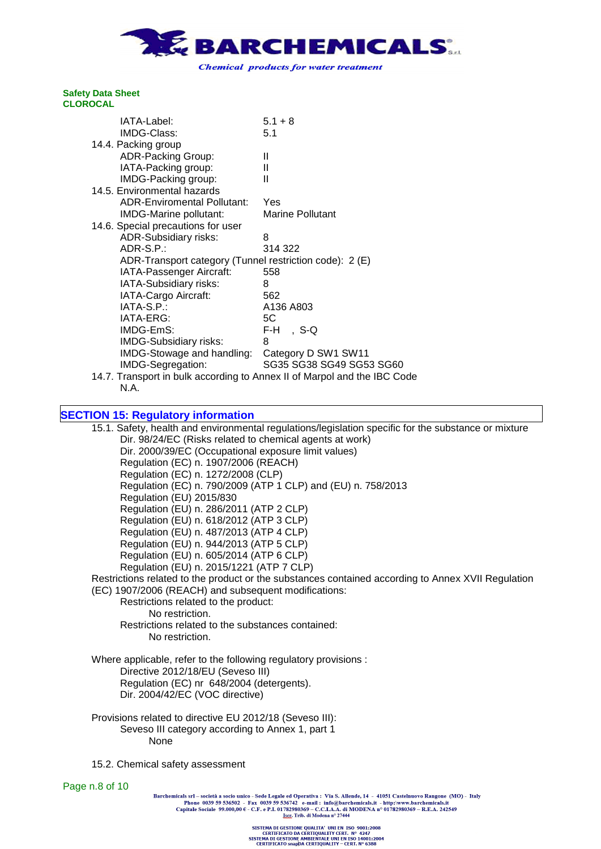

| IATA-Label:                                                              | $5.1 + 8$                |
|--------------------------------------------------------------------------|--------------------------|
| IMDG-Class:                                                              | 5.1                      |
| 14.4. Packing group                                                      |                          |
| <b>ADR-Packing Group:</b>                                                | Ш                        |
| IATA-Packing group:                                                      | Ш                        |
| IMDG-Packing group:                                                      | Ш                        |
| 14.5. Environmental hazards                                              |                          |
| <b>ADR-Enviromental Pollutant:</b>                                       | Yes                      |
| IMDG-Marine pollutant:                                                   | <b>Marine Pollutant</b>  |
| 14.6. Special precautions for user                                       |                          |
| <b>ADR-Subsidiary risks:</b>                                             | 8                        |
| ADR-S.P.:                                                                | 314 322                  |
| ADR-Transport category (Tunnel restriction code): 2 (E)                  |                          |
| IATA-Passenger Aircraft:                                                 | 558                      |
| IATA-Subsidiary risks:                                                   | 8                        |
| IATA-Cargo Aircraft:                                                     | 562                      |
| IATA-S.P.:                                                               | A136 A803                |
| IATA-ERG:                                                                | 5C                       |
| IMDG-EmS:                                                                | F-H -<br>,S-Q            |
|                                                                          | 8                        |
| IMDG-Subsidiary risks:                                                   |                          |
| IMDG-Stowage and handling:                                               | Category D SW1 SW11      |
| IMDG-Segregation:                                                        | SG35 SG38 SG49 SG53 SG60 |
| 14.7. Transport in bulk according to Annex II of Marpol and the IBC Code |                          |

N.A.

# **SECTION 15: Regulatory information**

15.1. Safety, health and environmental regulations/legislation specific for the substance or mixture Dir. 98/24/EC (Risks related to chemical agents at work) Dir. 2000/39/EC (Occupational exposure limit values) Regulation (EC) n. 1907/2006 (REACH) Regulation (EC) n. 1272/2008 (CLP) Regulation (EC) n. 790/2009 (ATP 1 CLP) and (EU) n. 758/2013 Regulation (EU) 2015/830 Regulation (EU) n. 286/2011 (ATP 2 CLP) Regulation (EU) n. 618/2012 (ATP 3 CLP) Regulation (EU) n. 487/2013 (ATP 4 CLP) Regulation (EU) n. 944/2013 (ATP 5 CLP) Regulation (EU) n. 605/2014 (ATP 6 CLP) Regulation (EU) n. 2015/1221 (ATP 7 CLP) Restrictions related to the product or the substances contained according to Annex XVII Regulation (EC) 1907/2006 (REACH) and subsequent modifications: Restrictions related to the product: No restriction. Restrictions related to the substances contained: No restriction.

Where applicable, refer to the following regulatory provisions : Directive 2012/18/EU (Seveso III) Regulation (EC) nr 648/2004 (detergents). Dir. 2004/42/EC (VOC directive)

Provisions related to directive EU 2012/18 (Seveso III): Seveso III category according to Annex 1, part 1 None

15.2. Chemical safety assessment

Page n.8 of 10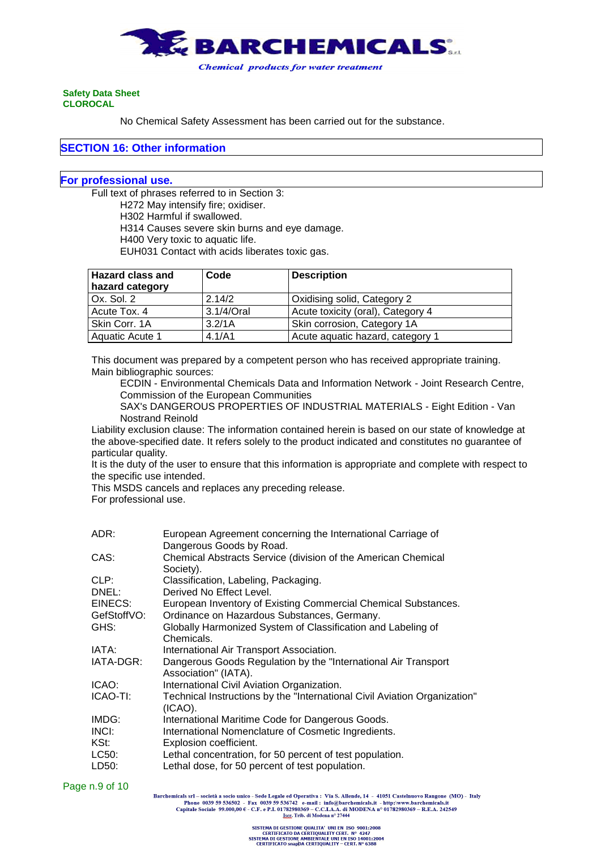

No Chemical Safety Assessment has been carried out for the substance.

#### **SECTION 16: Other information**

## **For professional use.**

Full text of phrases referred to in Section 3:

H272 May intensify fire; oxidiser. H302 Harmful if swallowed. H314 Causes severe skin burns and eye damage. H400 Very toxic to aquatic life. EUH031 Contact with acids liberates toxic gas.

| <b>Hazard class and</b> | Code       | <b>Description</b>                |
|-------------------------|------------|-----------------------------------|
| hazard category         |            |                                   |
| $Ox.$ Sol. 2            | 2.14/2     | Oxidising solid, Category 2       |
| Acute Tox. 4            | 3.1/4/Oral | Acute toxicity (oral), Category 4 |
| Skin Corr. 1A           | 3.2/1A     | Skin corrosion, Category 1A       |
| Aquatic Acute 1         | 4.1/A1     | Acute aquatic hazard, category 1  |

This document was prepared by a competent person who has received appropriate training. Main bibliographic sources:

ECDIN - Environmental Chemicals Data and Information Network - Joint Research Centre, Commission of the European Communities

SAX's DANGEROUS PROPERTIES OF INDUSTRIAL MATERIALS - Eight Edition - Van Nostrand Reinold

Liability exclusion clause: The information contained herein is based on our state of knowledge at the above-specified date. It refers solely to the product indicated and constitutes no guarantee of particular quality.

It is the duty of the user to ensure that this information is appropriate and complete with respect to the specific use intended.

This MSDS cancels and replaces any preceding release.

For professional use.

| ADR:        | European Agreement concerning the International Carriage of               |
|-------------|---------------------------------------------------------------------------|
|             | Dangerous Goods by Road.                                                  |
| CAS:        | Chemical Abstracts Service (division of the American Chemical             |
|             | Society).                                                                 |
| CLP:        | Classification, Labeling, Packaging.                                      |
| DNEL:       | Derived No Effect Level.                                                  |
| EINECS:     | European Inventory of Existing Commercial Chemical Substances.            |
| GefStoffVO: | Ordinance on Hazardous Substances, Germany.                               |
| GHS:        | Globally Harmonized System of Classification and Labeling of              |
|             | Chemicals.                                                                |
| IATA:       | International Air Transport Association.                                  |
| IATA-DGR:   | Dangerous Goods Regulation by the "International Air Transport"           |
|             | Association" (IATA).                                                      |
| ICAO:       | International Civil Aviation Organization.                                |
| ICAO-TI:    | Technical Instructions by the "International Civil Aviation Organization" |
|             | $(ICAO)$ .                                                                |
| IMDG:       | International Maritime Code for Dangerous Goods.                          |
| INCI:       | International Nomenclature of Cosmetic Ingredients.                       |
| KSt:        | Explosion coefficient.                                                    |
| LC50:       | Lethal concentration, for 50 percent of test population.                  |
| LD50:       | Lethal dose, for 50 percent of test population.                           |

Page n.9 of 10